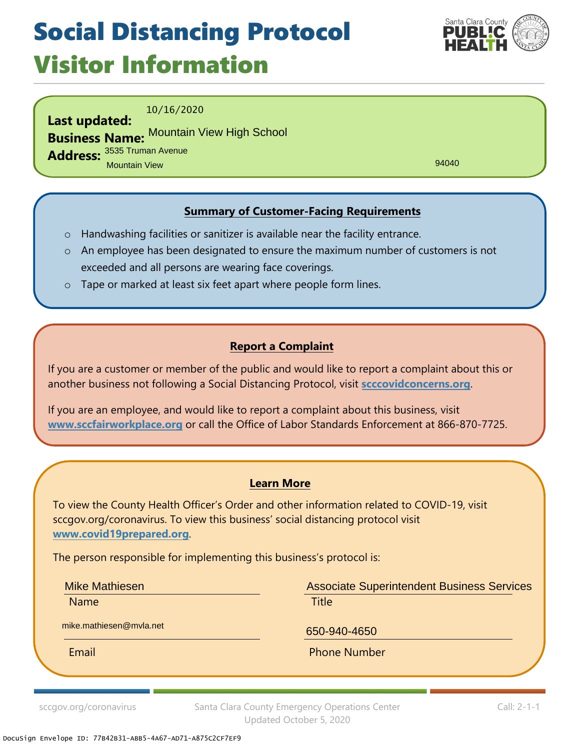## Social Distancing Protocol Visitor Information



10/16/2020

**Last updated: Business Name:** Mountain View High School**Address:** 3535 Truman Avenue Mountain View

94040

### **Summary of Customer-Facing Requirements**

- o Handwashing facilities or sanitizer is available near the facility entrance.
- o An employee has been designated to ensure the maximum number of customers is not exceeded and all persons are wearing face coverings.
- o Tape or marked at least six feet apart where people form lines.

#### **Report a Complaint**

If you are a customer or member of the public and would like to report a complaint about this or another business not following a Social Distancing Protocol, visit **scccovidconcerns.org**.

If you are an employee, and would like to report a complaint about this business, visit **www.sccfairworkplace.org** or call the Office of Labor Standards Enforcement at 866-870-7725.

#### **Learn More**

To view the County Health Officer's Order and other information related to COVID-19, visit sccgov.org/coronavirus. To view this business' social distancing protocol visit **www.covid19prepared.org**.

The person responsible for implementing this business's protocol is:

Mike Mathiesen

Name **Name is a strategie of the contract of the Title** 

Associate Superintendent Business Services

mike.mathiesen@mvla.net 650-940-4650

Email **Email** Phone Number

sccgov.org/coronavirus Santa Clara County Emergency Operations Center Updated October 5, 2020